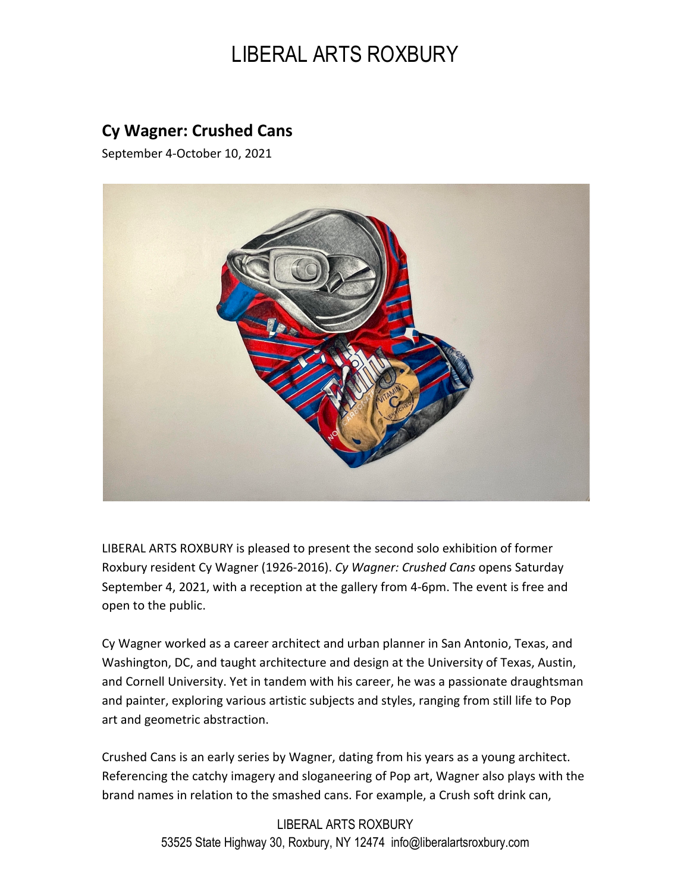## LIBERAL ARTS ROXBURY

## **Cy Wagner: Crushed Cans**

September 4-October 10, 2021



LIBERAL ARTS ROXBURY is pleased to present the second solo exhibition of former Roxbury resident Cy Wagner (1926-2016). *Cy Wagner: Crushed Cans* opens Saturday September 4, 2021, with a reception at the gallery from 4-6pm. The event is free and open to the public.

Cy Wagner worked as a career architect and urban planner in San Antonio, Texas, and Washington, DC, and taught architecture and design at the University of Texas, Austin, and Cornell University. Yet in tandem with his career, he was a passionate draughtsman and painter, exploring various artistic subjects and styles, ranging from still life to Pop art and geometric abstraction.

Crushed Cans is an early series by Wagner, dating from his years as a young architect. Referencing the catchy imagery and sloganeering of Pop art, Wagner also plays with the brand names in relation to the smashed cans. For example, a Crush soft drink can,

> LIBERAL ARTS ROXBURY 53525 State Highway 30, Roxbury, NY 12474 info@liberalartsroxbury.com